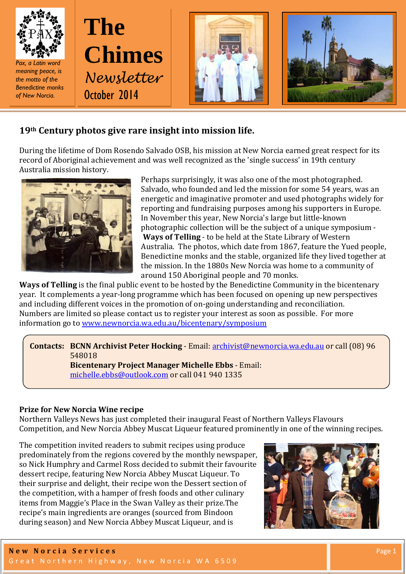



# **19th Century photos give rare insight into mission life.**

During the lifetime of Dom Rosendo Salvado OSB, his mission at New Norcia earned great respect for its record of Aboriginal achievement and was well recognized as the 'single success' in 19th century Australia mission history.



Perhaps surprisingly, it was also one of the most photographed. Salvado, who founded and led the mission for some 54 years, was an energetic and imaginative promoter and used photographs widely for reporting and fundraising purposes among his supporters in Europe. In November this year, New Norcia's large but little-known photographic collection will be the subject of a unique symposium - **Ways of Telling** - to be held at the State Library of Western Australia. The photos, which date from 1867, feature the Yued people, Benedictine monks and the stable, organized life they lived together at the mission. In the 1880s New Norcia was home to a community of around 150 Aboriginal people and 70 monks.

**Ways of Telling** is the final public event to be hosted by the Benedictine Community in the bicentenary year. It complements a year-long programme which has been focused on opening up new perspectives and including different voices in the promotion of on-going understanding and reconciliation. Numbers are limited so please contact us to register your interest as soon as possible. For more information go to [www.newnorcia.wa.edu.au/bicentenary/symposium](http://www.newnorcia.wa.edu.au/bicentenary/symposium)

**Contacts: BCNN Archivist Peter Hocking** - Email: [archivist@newnorcia.wa.edu.au](mailto:archivist@newnorcia.wa.edu.au) or call (08) 96 548018

**Bicentenary Project Manager Michelle Ebbs** - Email: [michelle.ebbs@outlook.com](mailto:michelle.ebbs@outlook.com) or call 041 940 1335

## **Prize for New Norcia Wine recipe**

Northern Valleys News has just completed their inaugural Feast of Northern Valleys Flavours Competition, and New Norcia Abbey Muscat Liqueur featured prominently in one of the winning recipes.

The competition invited readers to submit recipes using produce predominately from the regions covered by the monthly newspaper, so Nick Humphry and Carmel Ross decided to submit their favourite dessert recipe, featuring New Norcia Abbey Muscat Liqueur. To their surprise and delight, their recipe won the Dessert section of the competition, with a hamper of fresh foods and other culinary items from Maggie's Place in the Swan Valley as their prize.The recipe's main ingredients are oranges (sourced from Bindoon during season) and New Norcia Abbey Muscat Liqueur, and is

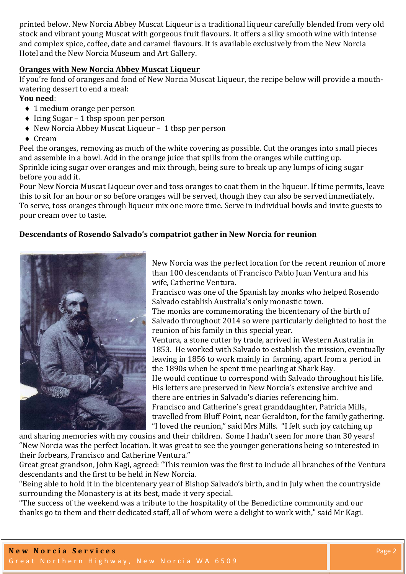printed below. New Norcia Abbey Muscat Liqueur is a traditional liqueur carefully blended from very old stock and vibrant young Muscat with gorgeous fruit flavours. It offers a silky smooth wine with intense and complex spice, coffee, date and caramel flavours. It is available exclusively from the New Norcia Hotel and the New Norcia Museum and Art Gallery.

#### **Oranges with New Norcia Abbey Muscat Liqueur**

If you're fond of oranges and fond of New Norcia Muscat Liqueur, the recipe below will provide a mouthwatering dessert to end a meal:

## **You need**:

- ♦ 1 medium orange per person
- ♦ Icing Sugar 1 tbsp spoon per person
- ♦ New Norcia Abbey Muscat Liqueur 1 tbsp per person
- ♦ Cream

Peel the oranges, removing as much of the white covering as possible. Cut the oranges into small pieces and assemble in a bowl. Add in the orange juice that spills from the oranges while cutting up. Sprinkle icing sugar over oranges and mix through, being sure to break up any lumps of icing sugar before you add it.

Pour New Norcia Muscat Liqueur over and toss oranges to coat them in the liqueur. If time permits, leave this to sit for an hour or so before oranges will be served, though they can also be served immediately. To serve, toss oranges through liqueur mix one more time. Serve in individual bowls and invite guests to pour cream over to taste.

#### **Descendants of Rosendo Salvado's compatriot gather in New Norcia for reunion**



New Norcia was the perfect location for the recent reunion of more than 100 descendants of Francisco Pablo Juan Ventura and his wife, Catherine Ventura.

Francisco was one of the Spanish lay monks who helped Rosendo Salvado establish Australia's only monastic town.

The monks are commemorating the bicentenary of the birth of Salvado throughout 2014 so were particularly delighted to host the reunion of his family in this special year.

Ventura, a stone cutter by trade, arrived in Western Australia in 1853. He worked with Salvado to establish the mission, eventually leaving in 1856 to work mainly in farming, apart from a period in the 1890s when he spent time pearling at Shark Bay.

He would continue to correspond with Salvado throughout his life. His letters are preserved in New Norcia's extensive archive and there are entries in Salvado's diaries referencing him.

Francisco and Catherine's great granddaughter, Patricia Mills, travelled from Bluff Point, near Geraldton, for the family gathering. "I loved the reunion," said Mrs Mills. "I felt such joy catching up

and sharing memories with my cousins and their children. Some I hadn't seen for more than 30 years! "New Norcia was the perfect location. It was great to see the younger generations being so interested in their forbears, Francisco and Catherine Ventura."

Great great grandson, John Kagi, agreed: "This reunion was the first to include all branches of the Ventura descendants and the first to be held in New Norcia.

"Being able to hold it in the bicentenary year of Bishop Salvado's birth, and in July when the countryside surrounding the Monastery is at its best, made it very special.

"The success of the weekend was a tribute to the hospitality of the Benedictine community and our thanks go to them and their dedicated staff, all of whom were a delight to work with," said Mr Kagi.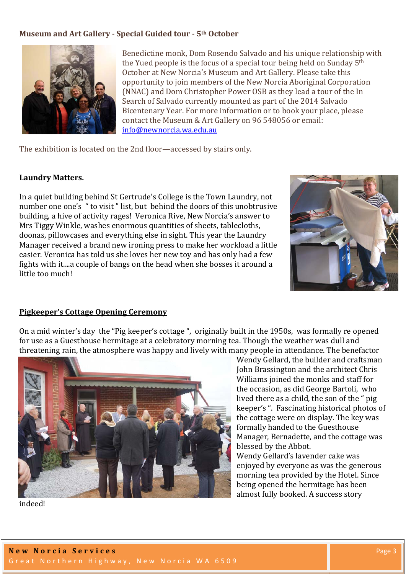### **Museum and Art Gallery - Special Guided tour - 5th October**



Benedictine monk, Dom Rosendo Salvado and his unique relationship with the Yued people is the focus of a special tour being held on Sunday 5th October at New Norcia's Museum and Art Gallery. Please take this opportunity to join members of the New Norcia Aboriginal Corporation (NNAC) and Dom Christopher Power OSB as they lead a tour of the In Search of Salvado currently mounted as part of the 2014 Salvado Bicentenary Year. For more information or to book your place, please contact the Museum & Art Gallery on 96 548056 or email: [info@newnorcia.wa.edu.au](mailto:info@newnorcia.wa.edu.au)

The exhibition is located on the 2nd floor—accessed by stairs only.

#### **Laundry Matters.**

In a quiet building behind St Gertrude's College is the Town Laundry, not number one one's " to visit " list, but behind the doors of this unobtrusive building, a hive of activity rages! Veronica Rive, New Norcia's answer to Mrs Tiggy Winkle, washes enormous quantities of sheets, tablecloths, doonas, pillowcases and everything else in sight. This year the Laundry Manager received a brand new ironing press to make her workload a little easier. Veronica has told us she loves her new toy and has only had a few fights with it....a couple of bangs on the head when she bosses it around a little too much!



#### **Pigkeeper's Cottage Opening Ceremony**

On a mid winter's day the "Pig keeper's cottage ", originally built in the 1950s, was formally re opened for use as a Guesthouse hermitage at a celebratory morning tea. Though the weather was dull and threatening rain, the atmosphere was happy and lively with many people in attendance. The benefactor



Wendy Gellard, the builder and craftsman John Brassington and the architect Chris Williams joined the monks and staff for the occasion, as did George Bartoli, who lived there as a child, the son of the " pig keeper's ". Fascinating historical photos of the cottage were on display. The key was formally handed to the Guesthouse Manager, Bernadette, and the cottage was blessed by the Abbot. Wendy Gellard's lavender cake was enjoyed by everyone as was the generous

morning tea provided by the Hotel. Since being opened the hermitage has been almost fully booked. A success story

indeed!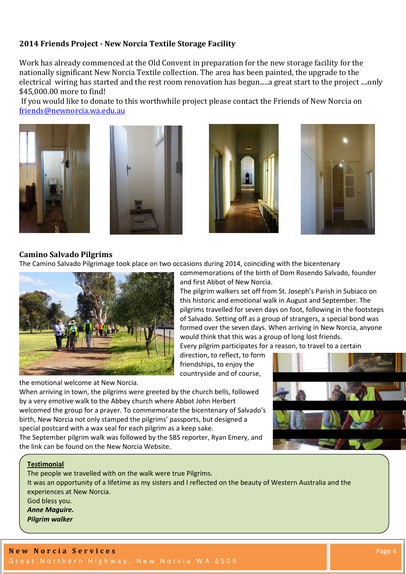#### **2014 Friends Project - New Norcia Textile Storage Facility**

Work has already commenced at the Old Convent in preparation for the new storage facility for the nationally significant New Norcia Textile collection. The area has been painted, the upgrade to the electrical wiring has started and the rest room renovation has begun.....a great start to the project ....only \$45,000.00 more to find!

If you would like to donate to this worthwhile project please contact the Friends of New Norcia on [friends@newnorcia.wa.edu.au](mailto:friends@newnorcia.wa.edu.au)









#### **Camino Salvado Pilgrims**

The Camino Salvado Pilgrimage took place on two occasions during 2014, coinciding with the bicentenary



the emotional welcome at New Norcia.

commemorations of the birth of Dom Rosendo Salvado, founder and first Abbot of New Norcia.

The pilgrim walkers set off from St. Joseph's Parish in Subiaco on this historic and emotional walk in August and September. The pilgrims travelled for seven days on foot, following in the footsteps of Salvado. Setting off as a group of strangers, a special bond was formed over the seven days. When arriving in New Norcia, anyone would think that this was a group of long lost friends.

Every pilgrim participates for a reason, to travel to a certain

direction, to reflect, to form friendships, to enjoy the countryside and of course,

When arriving in town, the pilgrims were greeted by the church bells, followed by a very emotive walk to the Abbey church where Abbot John Herbert welcomed the group for a prayer. To commemorate the bicentenary of Salvado's birth, New Norcia not only stamped the pilgrims' passports, but designed a special postcard with a wax seal for each pilgrim as a keep sake.

The September pilgrim walk was followed by the SBS reporter, Ryan Emery, and the link can be found on the New Norcia Website.



The people we travelled with on the walk were true Pilgrims. It was an opportunity of a lifetime as my sisters and I reflected on the beauty of Western Australia and the experiences at New Norcia. God bless you. *Anne Maguire. Pilgrim walker*

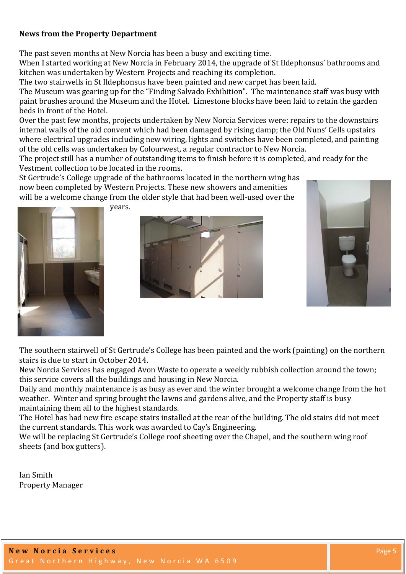## **News from the Property Department**

The past seven months at New Norcia has been a busy and exciting time.

When I started working at New Norcia in February 2014, the upgrade of St Ildephonsus' bathrooms and kitchen was undertaken by Western Projects and reaching its completion.

The two stairwells in St Ildephonsus have been painted and new carpet has been laid.

The Museum was gearing up for the "Finding Salvado Exhibition". The maintenance staff was busy with paint brushes around the Museum and the Hotel. Limestone blocks have been laid to retain the garden beds in front of the Hotel.

Over the past few months, projects undertaken by New Norcia Services were: repairs to the downstairs internal walls of the old convent which had been damaged by rising damp; the Old Nuns' Cells upstairs where electrical upgrades including new wiring, lights and switches have been completed, and painting of the old cells was undertaken by Colourwest, a regular contractor to New Norcia.

The project still has a number of outstanding items to finish before it is completed, and ready for the Vestment collection to be located in the rooms.

St Gertrude's College upgrade of the bathrooms located in the northern wing has now been completed by Western Projects. These new showers and amenities will be a welcome change from the older style that had been well-used over the



years.





The southern stairwell of St Gertrude's College has been painted and the work (painting) on the northern stairs is due to start in October 2014.

New Norcia Services has engaged Avon Waste to operate a weekly rubbish collection around the town; this service covers all the buildings and housing in New Norcia.

Daily and monthly maintenance is as busy as ever and the winter brought a welcome change from the hot weather. Winter and spring brought the lawns and gardens alive, and the Property staff is busy maintaining them all to the highest standards.

The Hotel has had new fire escape stairs installed at the rear of the building. The old stairs did not meet the current standards. This work was awarded to Cay's Engineering.

We will be replacing St Gertrude's College roof sheeting over the Chapel, and the southern wing roof sheets (and box gutters).

Ian Smith Property Manager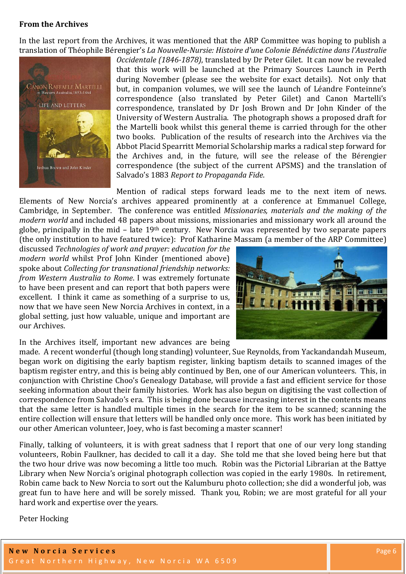#### **From the Archives**

In the last report from the Archives, it was mentioned that the ARP Committee was hoping to publish a translation of Théophile Bérengier's *La Nouvelle-Nursie: Histoire d'une Colonie Bénédictine dans l'Australie* 



*Occidentale (1846-1878)*, translated by Dr Peter Gilet. It can now be revealed that this work will be launched at the Primary Sources Launch in Perth during November (please see the website for exact details). Not only that but, in companion volumes, we will see the launch of Léandre Fonteinne's correspondence (also translated by Peter Gilet) and Canon Martelli's correspondence, translated by Dr Josh Brown and Dr John Kinder of the University of Western Australia. The photograph shows a proposed draft for the Martelli book whilst this general theme is carried through for the other two books. Publication of the results of research into the Archives via the Abbot Placid Spearritt Memorial Scholarship marks a radical step forward for the Archives and, in the future, will see the release of the Bérengier correspondence (the subject of the current APSMS) and the translation of Salvado's 1883 *Report to Propaganda Fide*.

Mention of radical steps forward leads me to the next item of news. Elements of New Norcia's archives appeared prominently at a conference at Emmanuel College, Cambridge, in September. The conference was entitled *Missionaries, materials and the making of the modern world* and included 48 papers about missions, missionaries and missionary work all around the globe, principally in the mid – late  $19<sup>th</sup>$  century. New Norcia was represented by two separate papers (the only institution to have featured twice): Prof Katharine Massam (a member of the ARP Committee)

discussed *Technologies of work and prayer: education for the modern world* whilst Prof John Kinder (mentioned above) spoke about *Collecting for transnational friendship networks: from Western Australia to Rome*. I was extremely fortunate to have been present and can report that both papers were excellent. I think it came as something of a surprise to us, now that we have seen New Norcia Archives in context, in a global setting, just how valuable, unique and important are our Archives.



In the Archives itself, important new advances are being

made. A recent wonderful (though long standing) volunteer, Sue Reynolds, from Yackandandah Museum, began work on digitising the early baptism register, linking baptism details to scanned images of the baptism register entry, and this is being ably continued by Ben, one of our American volunteers. This, in conjunction with Christine Choo's Genealogy Database, will provide a fast and efficient service for those seeking information about their family histories. Work has also begun on digitising the vast collection of correspondence from Salvado's era. This is being done because increasing interest in the contents means that the same letter is handled multiple times in the search for the item to be scanned; scanning the entire collection will ensure that letters will be handled only once more. This work has been initiated by our other American volunteer, Joey, who is fast becoming a master scanner!

Finally, talking of volunteers, it is with great sadness that I report that one of our very long standing volunteers, Robin Faulkner, has decided to call it a day. She told me that she loved being here but that the two hour drive was now becoming a little too much. Robin was the Pictorial Librarian at the Battye Library when New Norcia's original photograph collection was copied in the early 1980s. In retirement, Robin came back to New Norcia to sort out the Kalumburu photo collection; she did a wonderful job, was great fun to have here and will be sorely missed. Thank you, Robin; we are most grateful for all your hard work and expertise over the years.

Peter Hocking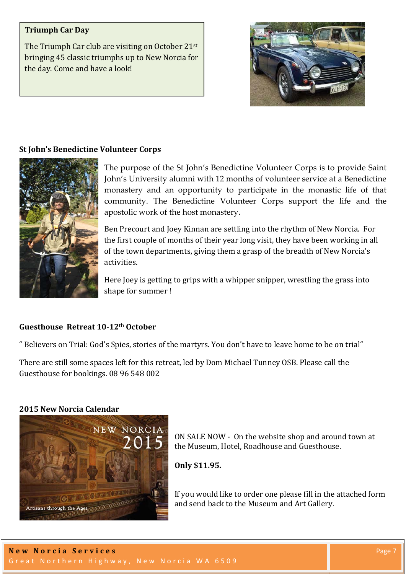## **Triumph Car Day**

The Triumph Car club are visiting on October 21st bringing 45 classic triumphs up to New Norcia for the day. Come and have a look!



#### **St John's Benedictine Volunteer Corps**



The purpose of the St John's Benedictine Volunteer Corps is to provide Saint John's University alumni with 12 months of volunteer service at a Benedictine monastery and an opportunity to participate in the monastic life of that community. The Benedictine Volunteer Corps support the life and the apostolic work of the host monastery.

Ben Precourt and Joey Kinnan are settling into the rhythm of New Norcia. For the first couple of months of their year long visit, they have been working in all of the town departments, giving them a grasp of the breadth of New Norcia's activities.

Here Joey is getting to grips with a whipper snipper, wrestling the grass into shape for summer !

#### **Guesthouse Retreat 10-12th October**

" Believers on Trial: God's Spies, stories of the martyrs. You don't have to leave home to be on trial"

There are still some spaces left for this retreat, led by Dom Michael Tunney OSB. Please call the Guesthouse for bookings. 08 96 548 002

#### **2015 New Norcia Calendar**



ON SALE NOW - On the website shop and around town at the Museum, Hotel, Roadhouse and Guesthouse.

**Only \$11.95.** 

If you would like to order one please fill in the attached form and send back to the Museum and Art Gallery.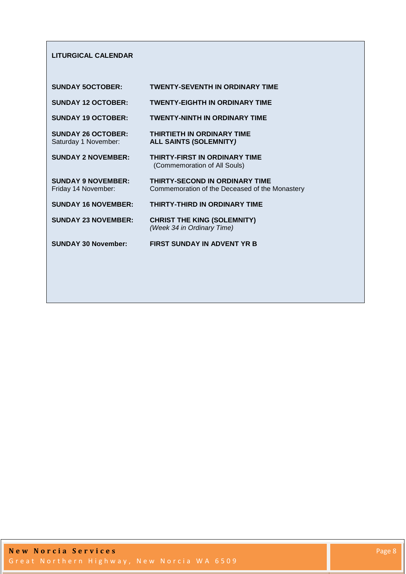#### **LITURGICAL CALENDAR**

| <b>SUNDAY 5OCTOBER:</b>                           | <b>TWENTY-SEVENTH IN ORDINARY TIME</b>                                                  |
|---------------------------------------------------|-----------------------------------------------------------------------------------------|
| <b>SUNDAY 12 OCTOBER:</b>                         | <b>TWENTY-EIGHTH IN ORDINARY TIME</b>                                                   |
| <b>SUNDAY 19 OCTOBER:</b>                         | <b>TWENTY-NINTH IN ORDINARY TIME</b>                                                    |
| <b>SUNDAY 26 OCTOBER:</b><br>Saturday 1 November: | <b>THIRTIETH IN ORDINARY TIME</b><br><b>ALL SAINTS (SOLEMNITY)</b>                      |
| <b>SUNDAY 2 NOVEMBER:</b>                         | THIRTY-FIRST IN ORDINARY TIME<br>(Commemoration of All Souls)                           |
| <b>SUNDAY 9 NOVEMBER:</b><br>Friday 14 November:  | <b>THIRTY-SECOND IN ORDINARY TIME</b><br>Commemoration of the Deceased of the Monastery |
| <b>SUNDAY 16 NOVEMBER:</b>                        | <b>THIRTY-THIRD IN ORDINARY TIME</b>                                                    |
| <b>SUNDAY 23 NOVEMBER:</b>                        | <b>CHRIST THE KING (SOLEMNITY)</b><br>(Week 34 in Ordinary Time)                        |
| <b>SUNDAY 30 November:</b>                        | <b>FIRST SUNDAY IN ADVENT YR B</b>                                                      |
|                                                   |                                                                                         |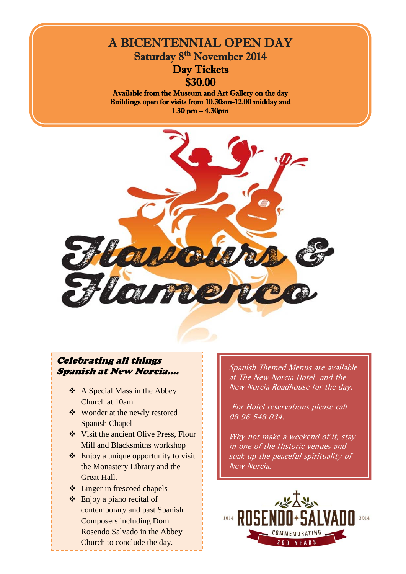

Buildings open for visits from 10.30am-12.00 midday and 1.30 pm – 4.30pm



# Celebrating all things Spanish at New Norcia....

- A Special Mass in the Abbey Church at 10am
- Wonder at the newly restored Spanish Chapel
- Visit the ancient Olive Press, Flour Mill and Blacksmiths workshop
- $\triangle$  Enjoy a unique opportunity to visit the Monastery Library and the Great Hall.
- $\triangle$  Linger in frescoed chapels
- $\triangle$  Enjoy a piano recital of contemporary and past Spanish Composers including Dom Rosendo Salvado in the Abbey Church to conclude the day.

Spanish Themed Menus are available at The New Norcia Hotel and the New Norcia Roadhouse for the day.

For Hotel reservations please call 08 96 548 034.

Why not make a weekend of it, stay in one of the Historic venues and soak up the peaceful spirituality of New Norcia.